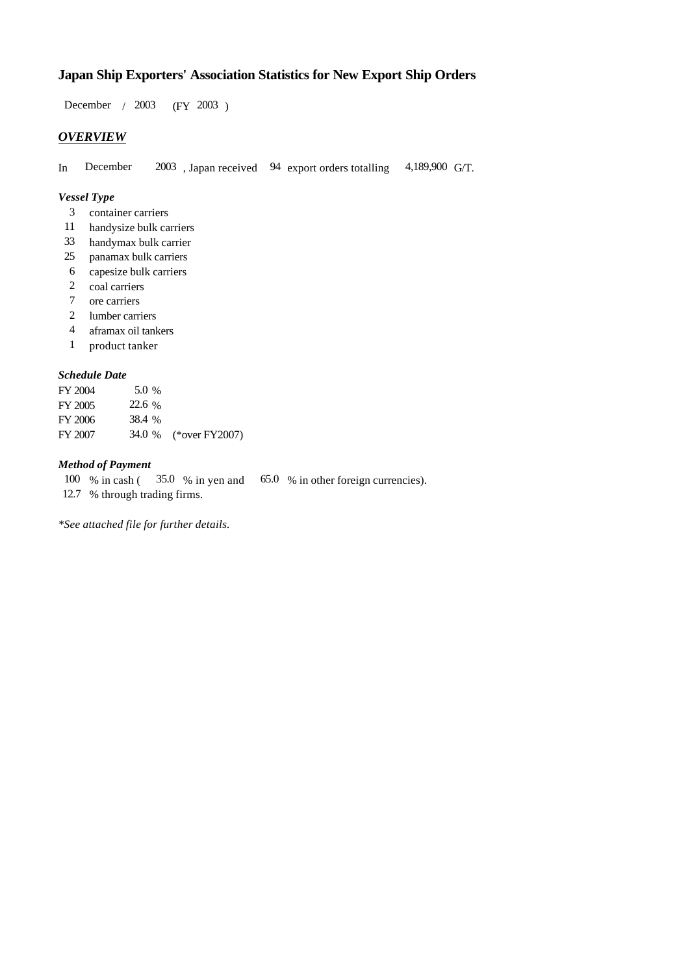# **Japan Ship Exporters' Association Statistics for New Export Ship Orders**

 $/ 2003$  (FY 2003) December / 2003

## *OVERVIEW*

In December 2003, Japan received 94 export orders totalling 4,189,900 G/T. 4,189,900 G/T.

## *Vessel Type*

- container carriers 3
- handysize bulk carriers 11
- handymax bulk carrier 33
- panamax bulk carriers 25
- capesize bulk carriers 6
- 2 coal carriers
- ore carriers 7
- lumber carriers 2
- aframax oil tankers 4
- product tanker 1

## *Schedule Date*

| FY 2004 | 5.0 %  |                       |
|---------|--------|-----------------------|
| FY 2005 | 22.6 % |                       |
| FY 2006 | 38.4 % |                       |
| FY 2007 |        | 34.0 % (*over FY2007) |

#### *Method of Payment*

% in cash ( $\frac{35.0 \div 5.0}{25.0 \div 5.0}$  % in other foreign currencies). 100 % in cash (

12.7 % through trading firms.

*\*See attached file for further details.*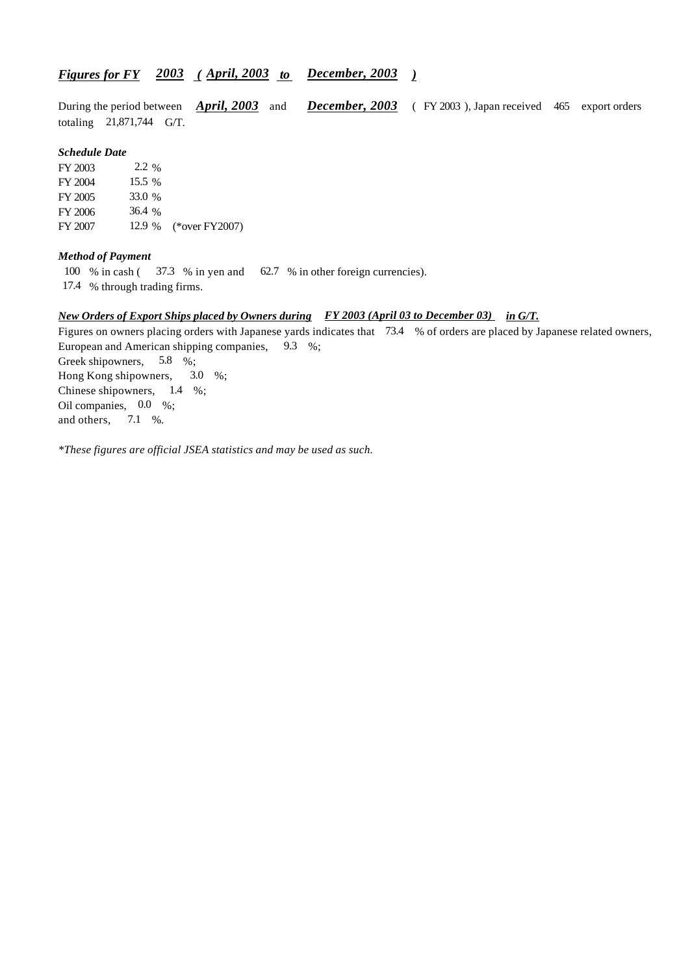## *<u><i>Figures for FY 2003 (April, 2003 to December, 2003)*</u>

During the period between *April, 2003* and *December, 2003* (FY 2003), Japan received 465 export orders totaling  $21,871,744$  G/T. During the period between *April, 2003* and

#### *Schedule Date*

FY 2003 FY 2004 FY 2005 FY 2006 FY 2007 12.9 % (\*over FY 2007) 15.5 % 33.0 36.4 2.2 %

#### *Method of Payment*

100 % in cash ( $\frac{37.3}{8}$  % in yen and  $\frac{62.7}{8}$  % in other foreign currencies).

17.4 % through trading firms.

#### *New Orders of Export Ships placed by Owners during in G/T. FY 2003 (April 03 to December 03)*

Figures on owners placing orders with Japanese yards indicates that 73.4 % of orders are placed by Japanese related owners, European and American shipping companies,  $9.3\%$ ; Greek shipowners,  $5.8\%$ ; Hong Kong shipowners, Chinese shipowners,  $1.4 \%$ ; Oil companies,  $0.0\%$ ; and others, 7.1  $3.0\%$ 

*\*These figures are official JSEA statistics and may be used as such.*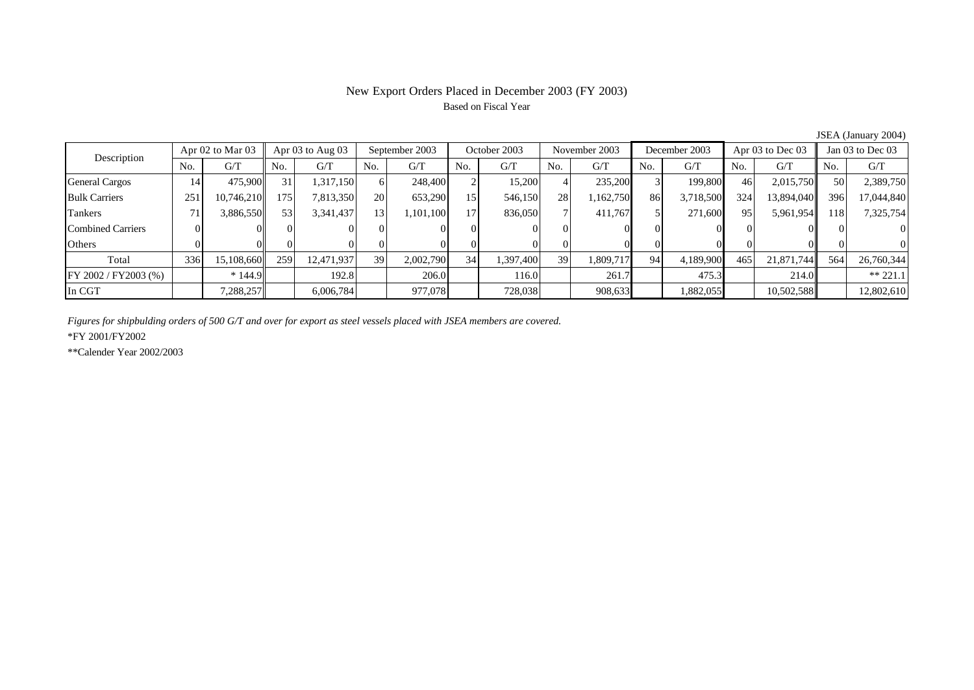# New Export Orders Placed in December 2003 (FY 2003) Based on Fiscal Year

| Description           | Apr 02 to Mar 03 |            | Apr $03$ to Aug $03$ |            | September 2003  |           | October 2003    |           | November 2003 |           | December 2003 |           | Apr $03$ to Dec $03$ |            | Jan 03 to Dec 03 |            |
|-----------------------|------------------|------------|----------------------|------------|-----------------|-----------|-----------------|-----------|---------------|-----------|---------------|-----------|----------------------|------------|------------------|------------|
|                       | No.              | G/T        | No.                  | G/T        | No.             | G/T       | No.             | G/T       | No.           | G/T       | No.           | G/T       | No.                  | G/T        | No.              | G/T        |
| <b>General Cargos</b> | 14               | 475,900    | 31                   | .317,150   | 61              | 248,400   |                 | 15,200    |               | 235,200   |               | 199.800   | 46                   | 2,015,750  | 50 <sup>I</sup>  | 2,389,750  |
| <b>Bulk Carriers</b>  | 251              | 10,746,210 | 175                  | 7,813,350  | 20 <sup>1</sup> | 653,290   | 15              | 546,150   | 28            | 1,162,750 | 86            | 3,718,500 | 324                  | 13,894,040 | 396              | 17,044,840 |
| Tankers               | 71               | 3,886,550  | 53                   | 3,341,437  | 13 <sup>1</sup> | 1,101,100 | 17 <sub>1</sub> | 836,050   |               | 411.767   |               | 271,600   | 95                   | 5,961,954  | 118 I            | 7,325,754  |
| Combined Carriers     |                  |            | ΩI                   |            |                 |           |                 |           |               |           |               |           |                      |            |                  | $\Omega$   |
| Others                |                  |            |                      |            |                 |           |                 |           |               |           |               |           |                      |            |                  | $\Omega$   |
| Total                 | 336              | 15,108,660 | 259                  | 12,471,937 | 39              | 2,002,790 | 34              | 1,397,400 | 39            | 1,809,717 | 94            | 4,189,900 | 465                  | 21,871,744 | 564              | 26,760,344 |
| FY 2002 / FY2003 (%)  |                  | $*144.9$   |                      | 192.8      |                 | 206.0     |                 | 116.0     |               | 261.7     |               | 475.3     |                      | 214.0      |                  | $** 221.1$ |
| In CGT                |                  | 7,288,257  |                      | 6,006,784  |                 | 977,078   |                 | 728,038   |               | 908,633   |               | 1,882,055 |                      | 10,502,588 |                  | 12,802,610 |

JSEA (January 2004)

*Figures for shipbulding orders of 500 G/T and over for export as steel vessels placed with JSEA members are covered.*

\*FY 2001/FY2002

\*\*Calender Year 2002/2003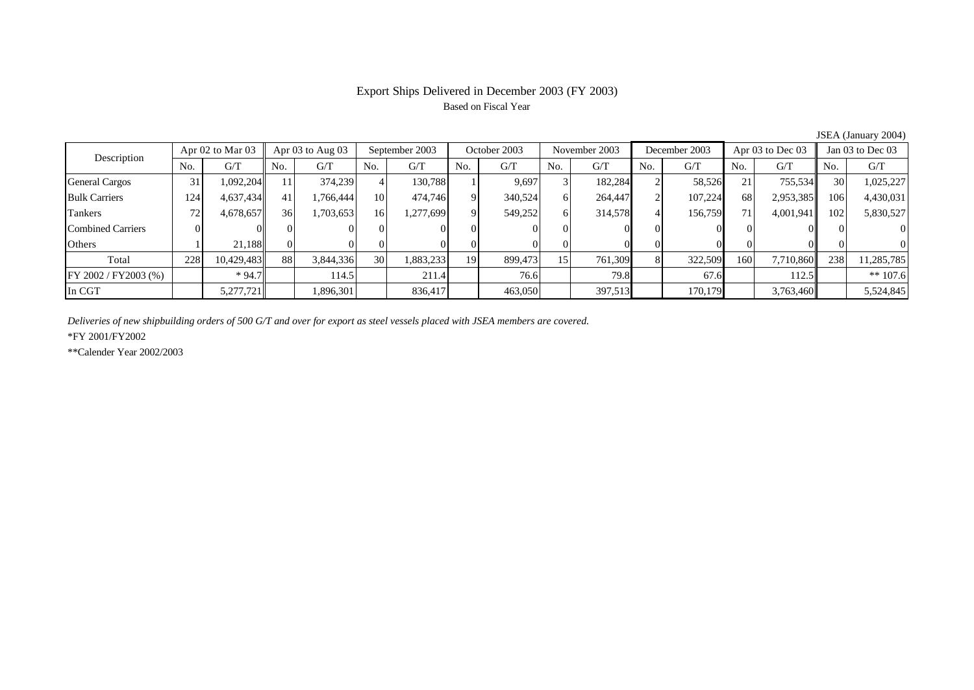## Export Ships Delivered in December 2003 (FY 2003) Based on Fiscal Year

| Description           | Apr 02 to Mar 03 |            | Apr $03$ to Aug $03$ |           | September 2003  |           | October 2003 |         | November 2003 |         | December 2003 |         | Apr $03$ to Dec $03$ |           | Jan 03 to Dec 03 |            |
|-----------------------|------------------|------------|----------------------|-----------|-----------------|-----------|--------------|---------|---------------|---------|---------------|---------|----------------------|-----------|------------------|------------|
|                       | No.              | G/T        | No.                  | G/T       | No.             | G/T       | No.          | G/T     | No.           | G/T     | No.           | G/T     | N <sub>0</sub>       | G/T       | No.              | G/T        |
| <b>General Cargos</b> | 31               | 1,092,204  |                      | 374,239   |                 | 130.788   |              | 9.697   |               | 182,284 |               | 58,526  | 21                   | 755,534   | 30 <sup>I</sup>  | 1,025,227  |
| <b>Bulk Carriers</b>  | 124              | 4,637,434  | 41                   | 1.766.444 | 10 <sup> </sup> | 474,746   | $\mathbf Q$  | 340,524 | 6             | 264,447 |               | 107,224 | 68                   | 2,953,385 | 106              | 4,430,031  |
| Tankers               | 72               | 4,678,657  | 36                   | 1,703,653 | 16              | 1,277,699 | Q.           | 549,252 | 61            | 314,578 |               | 156,759 | 71                   | 4,001,941 | 102              | 5,830,527  |
| Combined Carriers     |                  |            | ( ) I                |           |                 |           |              |         |               |         | $^{\prime}$   |         |                      |           |                  | $\Omega$   |
| Others                |                  | 21.188     |                      |           |                 |           |              |         |               |         |               |         |                      |           |                  | $\Omega$   |
| Total                 | 228              | 10,429,483 | 88                   | 3,844,336 | 30 <sup>l</sup> | 1,883,233 | 19           | 899,473 | 15            | 761,309 |               | 322,509 | 160                  | 7,710,860 | 238              | 11,285,785 |
| FY 2002 / FY2003 (%)  |                  | $*94.7$    |                      | 114.5     |                 | 211.4     |              | 76.6    |               | 79.8    |               | 67.6    |                      | 112.5     |                  | $** 107.6$ |
| In CGT                |                  | 5,277,721  |                      | 1,896,301 |                 | 836,417   |              | 463,050 |               | 397,513 |               | 170,179 |                      | 3,763,460 |                  | 5,524,845  |

JSEA (January 2004)

*Deliveries of new shipbuilding orders of 500 G/T and over for export as steel vessels placed with JSEA members are covered.*

\*FY 2001/FY2002

\*\*Calender Year 2002/2003